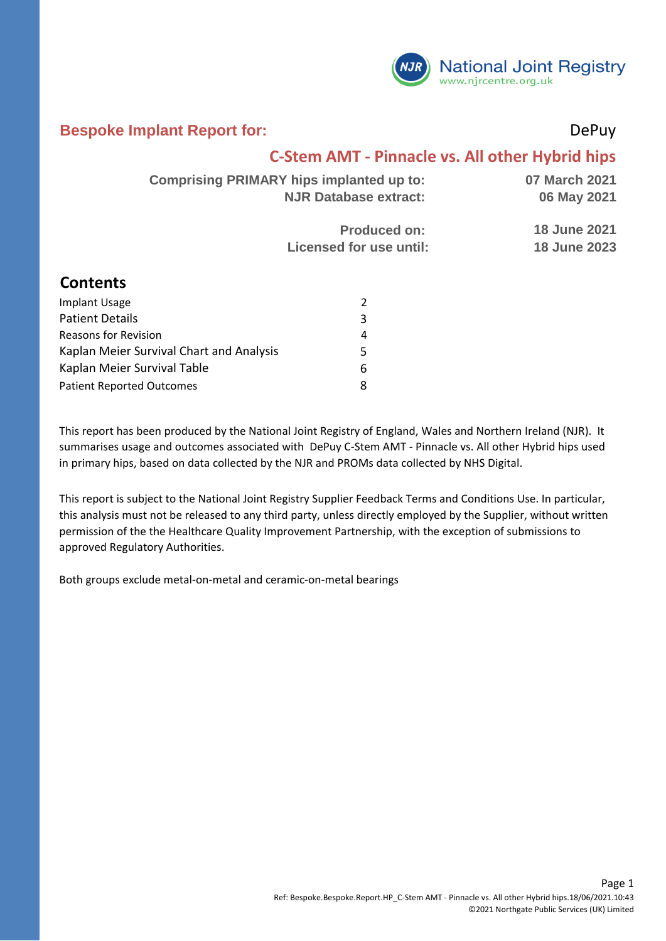

#### **Bespoke Implant Report for:** DePuy

#### **C-Stem AMT - Pinnacle vs. All other Hybrid hips**

| <b>Comprising PRIMARY hips implanted up to:</b> | 07 March 2021       |
|-------------------------------------------------|---------------------|
| <b>NJR Database extract:</b>                    | 06 May 2021         |
| <b>Produced on:</b>                             | <b>18 June 2021</b> |
| Licensed for use until:                         | <b>18 June 2023</b> |

#### **Contents**

| <b>Implant Usage</b>                     |   |
|------------------------------------------|---|
| <b>Patient Details</b>                   | 3 |
| <b>Reasons for Revision</b>              |   |
| Kaplan Meier Survival Chart and Analysis | 5 |
| Kaplan Meier Survival Table              | 6 |
| <b>Patient Reported Outcomes</b>         | я |

This report has been produced by the National Joint Registry of England, Wales and Northern Ireland (NJR). It summarises usage and outcomes associated with DePuy C-Stem AMT - Pinnacle vs. All other Hybrid hips used in primary hips, based on data collected by the NJR and PROMs data collected by NHS Digital.

This report is subject to the National Joint Registry Supplier Feedback Terms and Conditions Use. In particular, this analysis must not be released to any third party, unless directly employed by the Supplier, without written permission of the the Healthcare Quality Improvement Partnership, with the exception of submissions to approved Regulatory Authorities.

Both groups exclude metal-on-metal and ceramic-on-metal bearings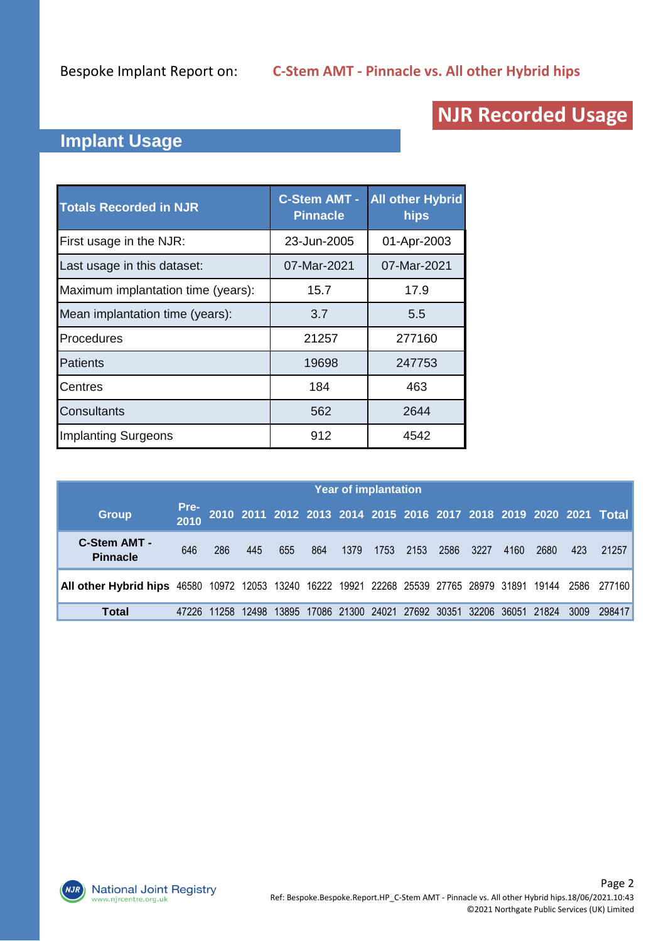# **NJR Recorded Usage**

### **Implant Usage**

| <b>Totals Recorded in NJR</b>      | <b>C-Stem AMT -</b><br><b>Pinnacle</b> | <b>All other Hybrid</b><br>hips |
|------------------------------------|----------------------------------------|---------------------------------|
| First usage in the NJR:            | 23-Jun-2005                            | 01-Apr-2003                     |
| Last usage in this dataset:        | 07-Mar-2021                            | 07-Mar-2021                     |
| Maximum implantation time (years): | 15.7                                   | 17.9                            |
| Mean implantation time (years):    | 3.7                                    | 5.5                             |
| Procedures                         | 21257                                  | 277160                          |
| Patients                           | 19698                                  | 247753                          |
| Centres                            | 184                                    | 463                             |
| <b>Consultants</b>                 | 562                                    | 2644                            |
| <b>Implanting Surgeons</b>         | 912                                    | 4542                            |

|                                                                                                           | <b>Year of implantation</b> |       |       |     |     |      |      |           |      |      |                                                            |     |                                                                   |
|-----------------------------------------------------------------------------------------------------------|-----------------------------|-------|-------|-----|-----|------|------|-----------|------|------|------------------------------------------------------------|-----|-------------------------------------------------------------------|
| <b>Group</b>                                                                                              | Pre-<br>2010                |       |       |     |     |      |      |           |      |      |                                                            |     | 2010 2011 2012 2013 2014 2015 2016 2017 2018 2019 2020 2021 Total |
| <b>C-Stem AMT -</b><br><b>Pinnacle</b>                                                                    | 646                         | 286   | 445   | 655 | 864 | 1379 | 1753 | 2153 2586 | 3227 | 4160 | 2680                                                       | 423 | 21257                                                             |
| All other Hybrid hips 46580 10972 12053 13240 16222 19921 22268 25539 27765 28979 31891 19144 2586 277160 |                             |       |       |     |     |      |      |           |      |      |                                                            |     |                                                                   |
| Total                                                                                                     |                             | 11258 | 12498 |     |     |      |      |           |      |      | 13895 17086 21300 24021 27692 30351 32206 36051 21824 3009 |     | 298417                                                            |

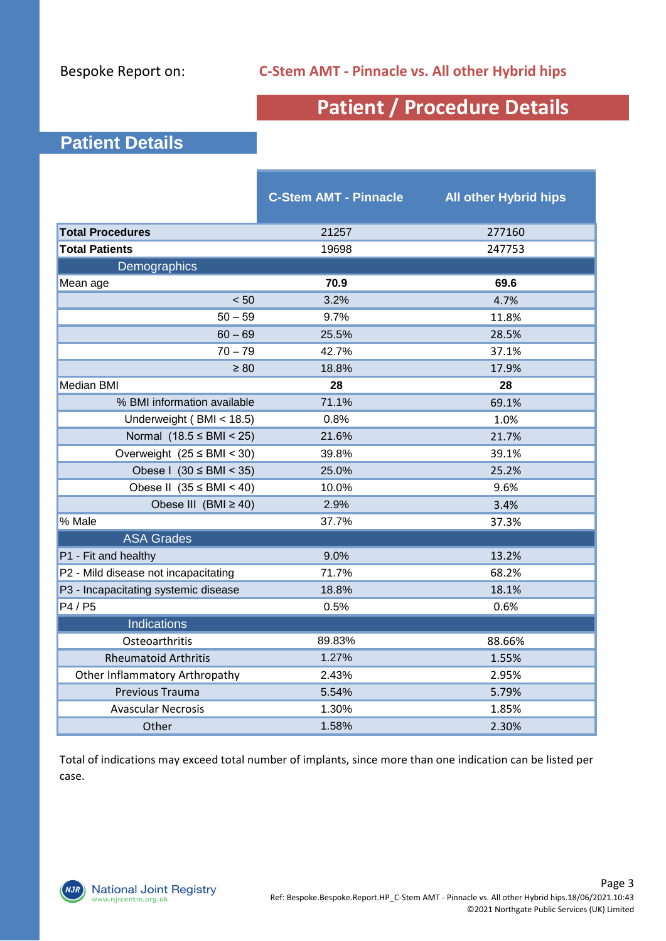# **Patient / Procedure Details**

### **Patient Details**

|                                      | <b>C-Stem AMT - Pinnacle</b> | <b>All other Hybrid hips</b> |
|--------------------------------------|------------------------------|------------------------------|
| <b>Total Procedures</b>              | 21257                        | 277160                       |
| <b>Total Patients</b>                | 19698                        | 247753                       |
| Demographics                         |                              |                              |
| Mean age                             | 70.9                         | 69.6                         |
| < 50                                 | 3.2%                         | 4.7%                         |
| $50 - 59$                            | 9.7%                         | 11.8%                        |
| $60 - 69$                            | 25.5%                        | 28.5%                        |
| $70 - 79$                            | 42.7%                        | 37.1%                        |
| $\geq 80$                            | 18.8%                        | 17.9%                        |
| <b>Median BMI</b>                    | 28                           | 28                           |
| % BMI information available          | 71.1%                        | 69.1%                        |
| Underweight (BMI < 18.5)             | 0.8%                         | 1.0%                         |
| Normal $(18.5 \leq BMI < 25)$        | 21.6%                        | 21.7%                        |
| Overweight $(25 \leq BMI \leq 30)$   | 39.8%                        | 39.1%                        |
| Obese I $(30 \leq BMI \leq 35)$      | 25.0%                        | 25.2%                        |
| Obese II $(35 \leq BMI \leq 40)$     | 10.0%                        | 9.6%                         |
| Obese III $(BMI \ge 40)$             | 2.9%                         | 3.4%                         |
| % Male                               | 37.7%                        | 37.3%                        |
| <b>ASA Grades</b>                    |                              |                              |
| P1 - Fit and healthy                 | 9.0%                         | 13.2%                        |
| P2 - Mild disease not incapacitating | 71.7%                        | 68.2%                        |
| P3 - Incapacitating systemic disease | 18.8%                        | 18.1%                        |
| P4 / P5                              | 0.5%                         | 0.6%                         |
| <b>Indications</b>                   |                              |                              |
| Osteoarthritis                       | 89.83%                       | 88.66%                       |
| <b>Rheumatoid Arthritis</b>          | 1.27%                        | 1.55%                        |
| Other Inflammatory Arthropathy       | 2.43%                        | 2.95%                        |
| Previous Trauma                      | 5.54%                        | 5.79%                        |
| <b>Avascular Necrosis</b>            | 1.30%                        | 1.85%                        |
| Other                                | 1.58%                        | 2.30%                        |

Total of indications may exceed total number of implants, since more than one indication can be listed per case.

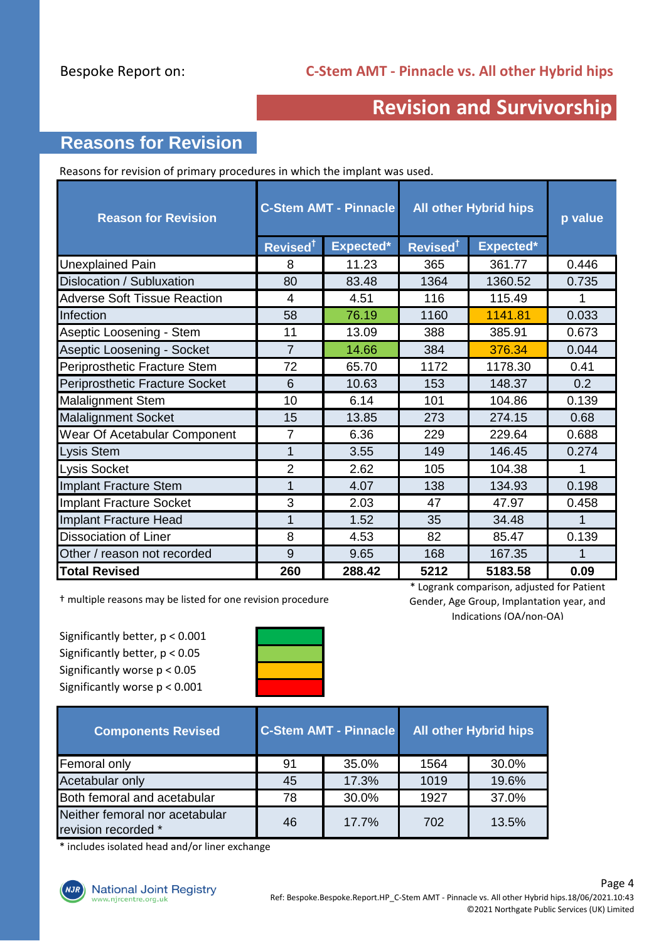## **Revision and Survivorship**

### **Reasons for Revision**

Reasons for revision of primary procedures in which the implant was used.

| <b>Reason for Revision</b>            | <b>C-Stem AMT - Pinnacle</b> |           | <b>All other Hybrid hips</b> | p value   |       |
|---------------------------------------|------------------------------|-----------|------------------------------|-----------|-------|
|                                       | Revised <sup>1</sup>         | Expected* | Revised <sup>†</sup>         | Expected* |       |
| Unexplained Pain                      | 8                            | 11.23     | 365                          | 361.77    | 0.446 |
| Dislocation / Subluxation             | 80                           | 83.48     | 1364                         | 1360.52   | 0.735 |
| <b>Adverse Soft Tissue Reaction</b>   | 4                            | 4.51      | 116                          | 115.49    | 1     |
| Infection                             | 58                           | 76.19     | 1160                         | 1141.81   | 0.033 |
| Aseptic Loosening - Stem              | 11                           | 13.09     | 388                          | 385.91    | 0.673 |
| Aseptic Loosening - Socket            | $\overline{7}$               | 14.66     | 384                          | 376.34    | 0.044 |
| Periprosthetic Fracture Stem          | 72                           | 65.70     | 1172                         | 1178.30   | 0.41  |
| <b>Periprosthetic Fracture Socket</b> | 6                            | 10.63     | 153                          | 148.37    | 0.2   |
| <b>Malalignment Stem</b>              | 10                           | 6.14      | 101                          | 104.86    | 0.139 |
| <b>Malalignment Socket</b>            | 15                           | 13.85     | 273                          | 274.15    | 0.68  |
| Wear Of Acetabular Component          | $\overline{7}$               | 6.36      | 229                          | 229.64    | 0.688 |
| <b>Lysis Stem</b>                     | 1                            | 3.55      | 149                          | 146.45    | 0.274 |
| Lysis Socket                          | $\overline{2}$               | 2.62      | 105                          | 104.38    | 1     |
| <b>Implant Fracture Stem</b>          | 1                            | 4.07      | 138                          | 134.93    | 0.198 |
| Implant Fracture Socket               | 3                            | 2.03      | 47                           | 47.97     | 0.458 |
| Implant Fracture Head                 | 1                            | 1.52      | 35                           | 34.48     | 1     |
| <b>Dissociation of Liner</b>          | 8                            | 4.53      | 82                           | 85.47     | 0.139 |
| Other / reason not recorded           | 9                            | 9.65      | 168                          | 167.35    |       |
| <b>Total Revised</b>                  | 260                          | 288.42    | 5212                         | 5183.58   | 0.09  |

† multiple reasons may be listed for one revision procedure

Significantly better, p < 0.001 Significantly better, p < 0.05 Significantly worse p < 0.05 Significantly worse p < 0.001



\* Logrank comparison, adjusted for Patient Gender, Age Group, Implantation year, and Indications (OA/non-OA)

| <b>Components Revised</b>                             |    | <b>C-Stem AMT - Pinnacle</b> | <b>All other Hybrid hips</b> |       |  |
|-------------------------------------------------------|----|------------------------------|------------------------------|-------|--|
| Femoral only                                          | 91 | 35.0%                        | 1564                         | 30.0% |  |
| Acetabular only                                       | 45 | 17.3%                        | 1019                         | 19.6% |  |
| Both femoral and acetabular                           | 78 | 30.0%                        | 1927                         | 37.0% |  |
| Neither femoral nor acetabular<br>revision recorded * | 46 | 17.7%                        | 702                          | 13.5% |  |

\* includes isolated head and/or liner exchange

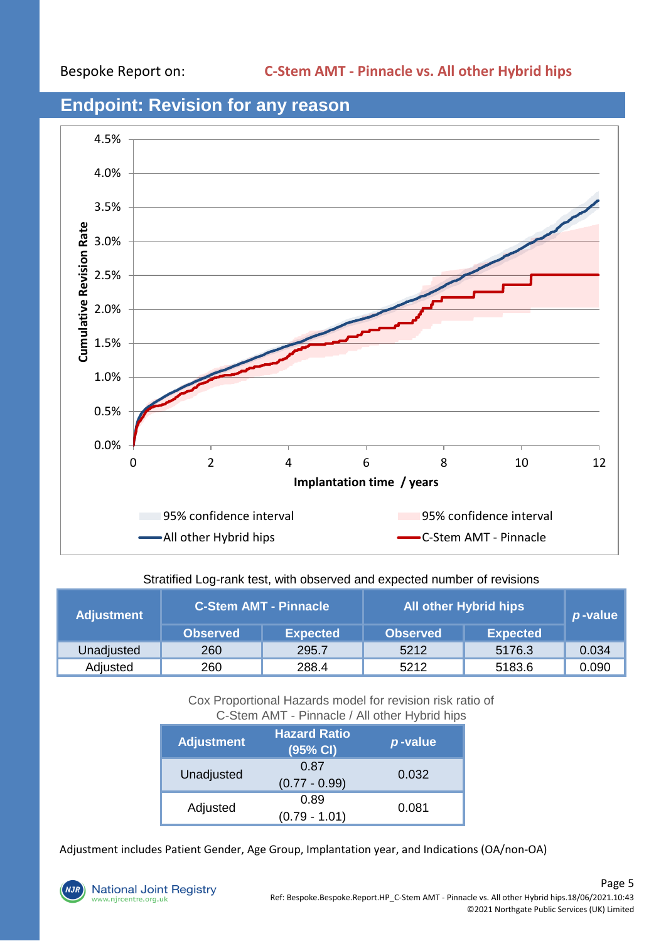

#### **Endpoint: Revision for any reason**

#### Stratified Log-rank test, with observed and expected number of revisions

| <b>Adjustment</b> | <b>C-Stem AMT - Pinnacle</b> |                 | <b>All other Hybrid hips</b> | p-value         |       |
|-------------------|------------------------------|-----------------|------------------------------|-----------------|-------|
|                   | <b>Observed</b>              | <b>Expected</b> | <b>Observed</b>              | <b>Expected</b> |       |
| Unadjusted        | 260                          | 295.7           | 5212                         | 5176.3          | 0.034 |
| Adjusted          | 260                          | 288.4           | 5212                         | 5183.6          | 0.090 |

Cox Proportional Hazards model for revision risk ratio of C-Stem AMT - Pinnacle / All other Hybrid hips

| <b>Adjustment</b> | <b>Hazard Ratio</b><br>(95% CI) | p-value |
|-------------------|---------------------------------|---------|
| Unadjusted        | 0.87<br>$(0.77 - 0.99)$         | 0.032   |
| Adjusted          | 0.89<br>$(0.79 - 1.01)$         | 0.081   |

Adjustment includes Patient Gender, Age Group, Implantation year, and Indications (OA/non-OA)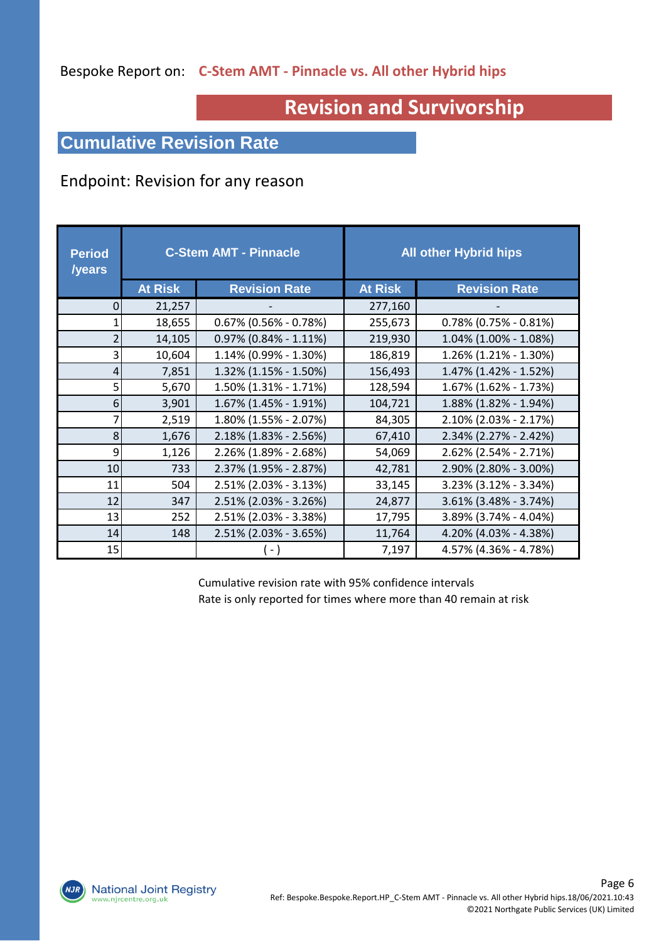#### Bespoke Report on: **C-Stem AMT - Pinnacle vs. All other Hybrid hips**

# **Revision and Survivorship**

### **Cumulative Revision Rate**

#### Endpoint: Revision for any reason

| <b>Period</b><br><b>/years</b> | <b>C-Stem AMT - Pinnacle</b> |                          |                | <b>All other Hybrid hips</b> |
|--------------------------------|------------------------------|--------------------------|----------------|------------------------------|
|                                | <b>At Risk</b>               | <b>Revision Rate</b>     | <b>At Risk</b> | <b>Revision Rate</b>         |
| 0                              | 21,257                       |                          | 277,160        |                              |
|                                | 18,655                       | $0.67\%$ (0.56% - 0.78%) | 255,673        | $0.78\%$ (0.75% - 0.81%)     |
|                                | 14,105                       | $0.97\%$ (0.84% - 1.11%) | 219,930        | 1.04% (1.00% - 1.08%)        |
| 3                              | 10,604                       | 1.14% (0.99% - 1.30%)    | 186,819        | 1.26% (1.21% - 1.30%)        |
| 4                              | 7,851                        | 1.32% (1.15% - 1.50%)    | 156,493        | 1.47% (1.42% - 1.52%)        |
| 5                              | 5,670                        | 1.50% (1.31% - 1.71%)    | 128,594        | 1.67% (1.62% - 1.73%)        |
| 6                              | 3,901                        | 1.67% (1.45% - 1.91%)    | 104,721        | 1.88% (1.82% - 1.94%)        |
| 7                              | 2,519                        | 1.80% (1.55% - 2.07%)    | 84,305         | 2.10% (2.03% - 2.17%)        |
| 8                              | 1,676                        | 2.18% (1.83% - 2.56%)    | 67,410         | 2.34% (2.27% - 2.42%)        |
| 9                              | 1,126                        | 2.26% (1.89% - 2.68%)    | 54,069         | 2.62% (2.54% - 2.71%)        |
| 10                             | 733                          | 2.37% (1.95% - 2.87%)    | 42,781         | 2.90% (2.80% - 3.00%)        |
| 11                             | 504                          | 2.51% (2.03% - 3.13%)    | 33,145         | 3.23% (3.12% - 3.34%)        |
| 12                             | 347                          | 2.51% (2.03% - 3.26%)    | 24,877         | 3.61% (3.48% - 3.74%)        |
| 13                             | 252                          | 2.51% (2.03% - 3.38%)    | 17,795         | 3.89% (3.74% - 4.04%)        |
| 14                             | 148                          | 2.51% (2.03% - 3.65%)    | 11,764         | 4.20% (4.03% - 4.38%)        |
| 15                             |                              |                          | 7,197          | 4.57% (4.36% - 4.78%)        |

Cumulative revision rate with 95% confidence intervals Rate is only reported for times where more than 40 remain at risk

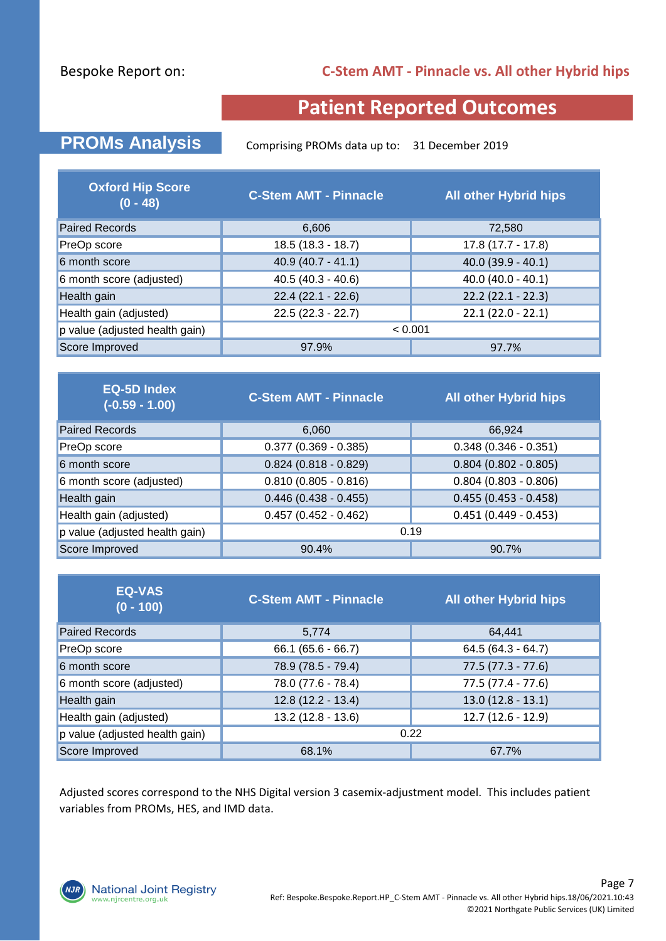#### Bespoke Report on:

#### **C-Stem AMT - Pinnacle vs. All other Hybrid hips**

## **Patient Reported Outcomes**

**PROMs Analysis** Comprising PROMs data up to: 31 December 2019

| <b>Oxford Hip Score</b><br>$(0 - 48)$ | <b>C-Stem AMT - Pinnacle</b> | <b>All other Hybrid hips</b> |  |  |
|---------------------------------------|------------------------------|------------------------------|--|--|
| <b>Paired Records</b>                 | 6,606                        | 72,580                       |  |  |
| PreOp score                           | $18.5(18.3 - 18.7)$          | $17.8(17.7 - 17.8)$          |  |  |
| 6 month score                         | $40.9(40.7 - 41.1)$          | $40.0$ (39.9 - 40.1)         |  |  |
| 6 month score (adjusted)              | $40.5(40.3 - 40.6)$          | $40.0 (40.0 - 40.1)$         |  |  |
| Health gain                           | $22.4(22.1 - 22.6)$          | $22.2$ (22.1 - 22.3)         |  |  |
| Health gain (adjusted)                | $22.5(22.3 - 22.7)$          | $22.1(22.0 - 22.1)$          |  |  |
| p value (adjusted health gain)        | < 0.001                      |                              |  |  |
| Score Improved                        | 97.9%<br>97.7%               |                              |  |  |

| <b>EQ-5D Index</b><br>$(-0.59 - 1.00)$ | <b>C-Stem AMT - Pinnacle</b> | <b>All other Hybrid hips</b> |  |  |
|----------------------------------------|------------------------------|------------------------------|--|--|
| <b>Paired Records</b>                  | 6,060                        | 66,924                       |  |  |
| PreOp score                            | $0.377$ (0.369 - 0.385)      | $0.348(0.346 - 0.351)$       |  |  |
| 6 month score                          | $0.824$ (0.818 - 0.829)      | $0.804(0.802 - 0.805)$       |  |  |
| 6 month score (adjusted)               | $0.810(0.805 - 0.816)$       | $0.804$ (0.803 - 0.806)      |  |  |
| Health gain                            | $0.446(0.438 - 0.455)$       | $0.455(0.453 - 0.458)$       |  |  |
| Health gain (adjusted)                 | $0.457$ (0.452 - 0.462)      | $0.451(0.449 - 0.453)$       |  |  |
| p value (adjusted health gain)         | 0.19                         |                              |  |  |
| Score Improved                         | 90.4%<br>90.7%               |                              |  |  |

| <b>EQ-VAS</b><br>$(0 - 100)$   | <b>C-Stem AMT - Pinnacle</b> | <b>All other Hybrid hips</b> |
|--------------------------------|------------------------------|------------------------------|
| <b>Paired Records</b>          | 5,774                        | 64,441                       |
| PreOp score                    | $66.1(65.6 - 66.7)$          | $64.5(64.3 - 64.7)$          |
| 6 month score                  | 78.9 (78.5 - 79.4)           | $77.5(77.3 - 77.6)$          |
| 6 month score (adjusted)       | 78.0 (77.6 - 78.4)           | $77.5(77.4 - 77.6)$          |
| Health gain                    | 12.8 (12.2 - 13.4)           | $13.0(12.8 - 13.1)$          |
| Health gain (adjusted)         | $13.2(12.8 - 13.6)$          | $12.7(12.6 - 12.9)$          |
| p value (adjusted health gain) | 0.22                         |                              |
| Score Improved                 | 68.1%                        | 67.7%                        |

Adjusted scores correspond to the NHS Digital version 3 casemix-adjustment model. This includes patient variables from PROMs, HES, and IMD data.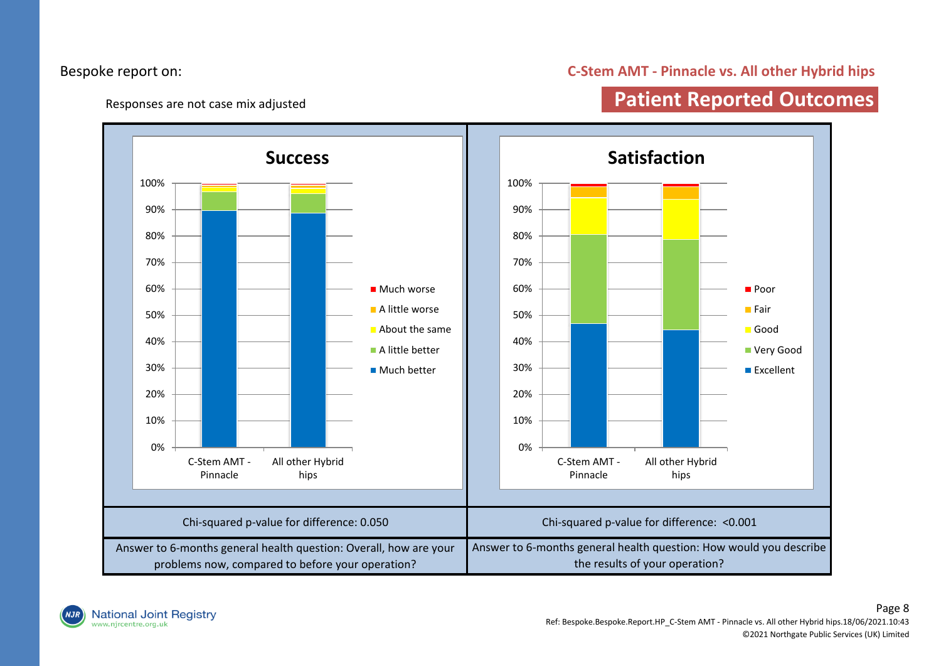#### Bespoke report on:

#### **C-Stem AMT - Pinnacle vs. All other Hybrid hips**

Responses are not case mix adjusted

## **Patient Reported Outcomes**



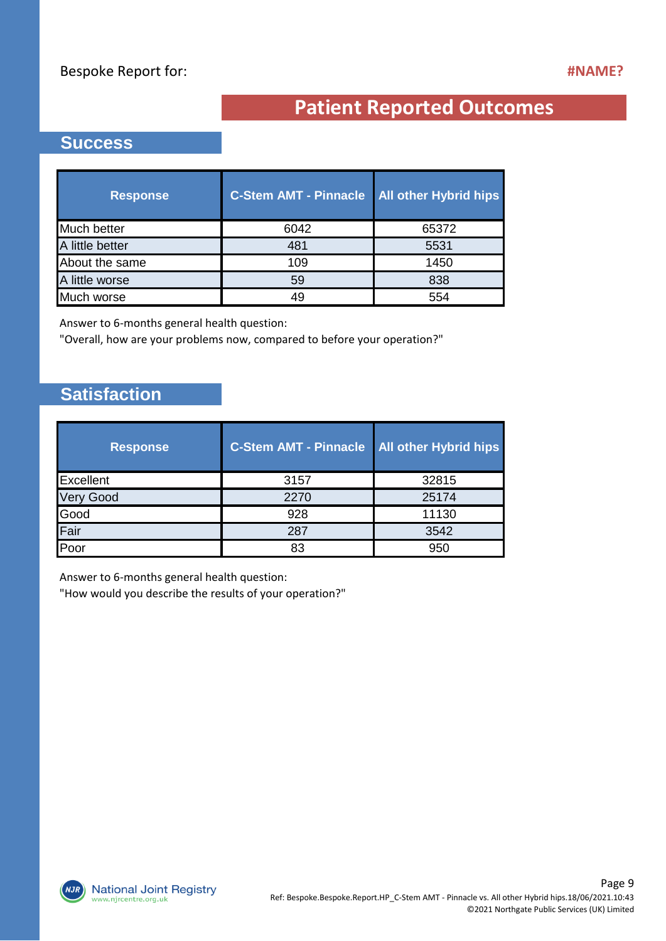# **Patient Reported Outcomes**

#### **Success**

| <b>Response</b> | <b>C-Stem AMT - Pinnacle</b> | <b>All other Hybrid hips</b> |
|-----------------|------------------------------|------------------------------|
| Much better     | 6042                         | 65372                        |
| A little better | 481                          | 5531                         |
| About the same  | 109                          | 1450                         |
| A little worse  | 59                           | 838                          |
| Much worse      | 49                           | 554                          |

Answer to 6-months general health question:

"Overall, how are your problems now, compared to before your operation?"

### **Satisfaction**

| <b>Response</b>  | <b>C-Stem AMT - Pinnacle</b> | <b>All other Hybrid hips</b> |
|------------------|------------------------------|------------------------------|
| Excellent        | 3157                         | 32815                        |
| <b>Very Good</b> | 2270                         | 25174                        |
| Good             | 928                          | 11130                        |
| Fair             | 287                          | 3542                         |
| Poor             | 83                           | 950                          |

Answer to 6-months general health question:

"How would you describe the results of your operation?"

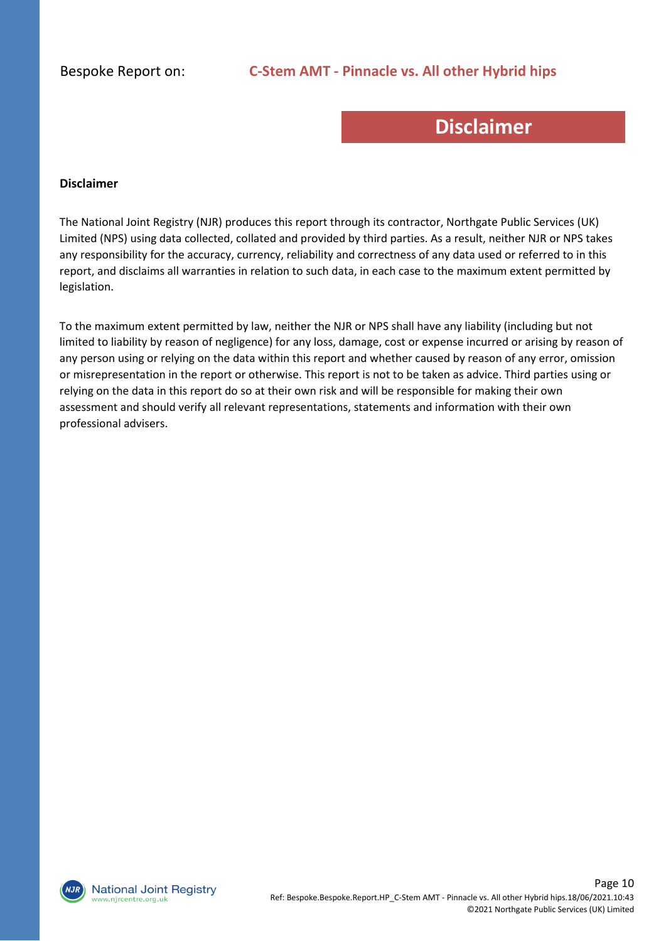## **Disclaimer**

#### **Disclaimer**

The National Joint Registry (NJR) produces this report through its contractor, Northgate Public Services (UK) Limited (NPS) using data collected, collated and provided by third parties. As a result, neither NJR or NPS takes any responsibility for the accuracy, currency, reliability and correctness of any data used or referred to in this report, and disclaims all warranties in relation to such data, in each case to the maximum extent permitted by legislation.

To the maximum extent permitted by law, neither the NJR or NPS shall have any liability (including but not limited to liability by reason of negligence) for any loss, damage, cost or expense incurred or arising by reason of any person using or relying on the data within this report and whether caused by reason of any error, omission or misrepresentation in the report or otherwise. This report is not to be taken as advice. Third parties using or relying on the data in this report do so at their own risk and will be responsible for making their own assessment and should verify all relevant representations, statements and information with their own professional advisers.

**National Joint Registry** vw.njrcentre.org.uk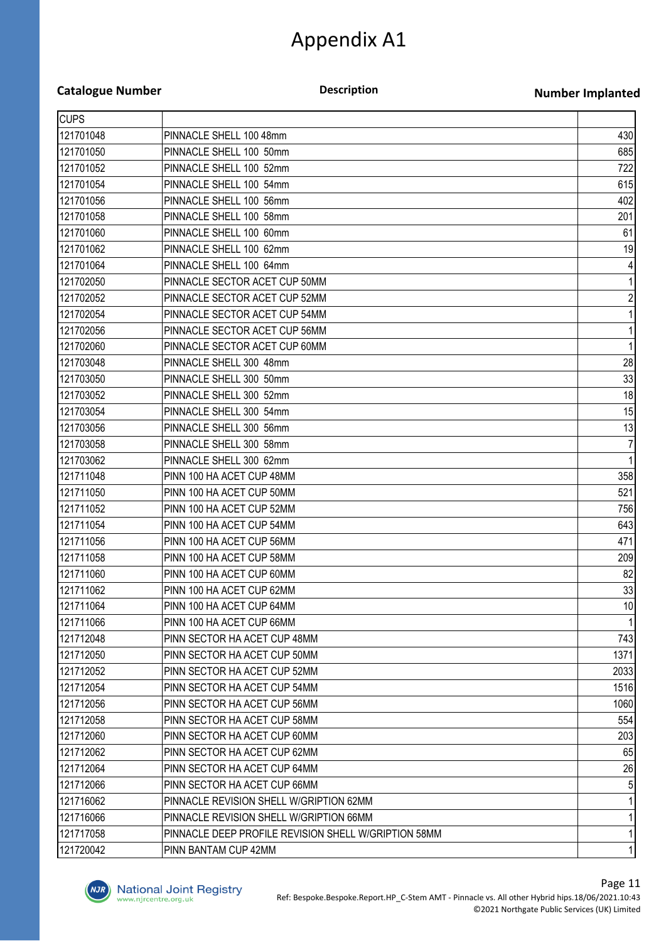#### **Catalogue Number**

#### **Description**

#### **Number Implanted**

| <b>CUPS</b> |                                                      |                 |
|-------------|------------------------------------------------------|-----------------|
| 121701048   | PINNACLE SHELL 100 48mm                              | 430             |
| 121701050   | PINNACLE SHELL 100 50mm                              | 685             |
| 121701052   | PINNACLE SHELL 100 52mm                              | 722             |
| 121701054   | PINNACLE SHELL 100 54mm                              | 615             |
| 121701056   | PINNACLE SHELL 100 56mm                              | 402             |
| 121701058   | PINNACLE SHELL 100 58mm                              | 201             |
| 121701060   | PINNACLE SHELL 100 60mm                              | 61              |
| 121701062   | PINNACLE SHELL 100 62mm                              | 19              |
| 121701064   | PINNACLE SHELL 100 64mm                              | 4               |
| 121702050   | PINNACLE SECTOR ACET CUP 50MM                        |                 |
| 121702052   | PINNACLE SECTOR ACET CUP 52MM                        | $\overline{c}$  |
| 121702054   | PINNACLE SECTOR ACET CUP 54MM                        |                 |
| 121702056   | PINNACLE SECTOR ACET CUP 56MM                        |                 |
| 121702060   | PINNACLE SECTOR ACET CUP 60MM                        |                 |
| 121703048   | PINNACLE SHELL 300 48mm                              | 28              |
| 121703050   | PINNACLE SHELL 300 50mm                              | 33              |
| 121703052   | PINNACLE SHELL 300 52mm                              | 18              |
| 121703054   | PINNACLE SHELL 300 54mm                              | 15              |
| 121703056   | PINNACLE SHELL 300 56mm                              | 13              |
| 121703058   | PINNACLE SHELL 300 58mm                              | 7               |
| 121703062   | PINNACLE SHELL 300 62mm                              |                 |
| 121711048   | PINN 100 HA ACET CUP 48MM                            | 358             |
| 121711050   | PINN 100 HA ACET CUP 50MM                            | 521             |
| 121711052   | PINN 100 HA ACET CUP 52MM                            | 756             |
| 121711054   | PINN 100 HA ACET CUP 54MM                            | 643             |
| 121711056   | PINN 100 HA ACET CUP 56MM                            | 471             |
| 121711058   | PINN 100 HA ACET CUP 58MM                            | 209             |
| 121711060   | PINN 100 HA ACET CUP 60MM                            | 82              |
| 121711062   | PINN 100 HA ACET CUP 62MM                            | 33              |
| 121711064   | PINN 100 HA ACET CUP 64MM                            | 10 <sup>1</sup> |
| 121711066   | PINN 100 HA ACET CUP 66MM                            |                 |
| 121712048   | PINN SECTOR HA ACET CUP 48MM                         | 743             |
| 121712050   | PINN SECTOR HA ACET CUP 50MM                         | 1371            |
| 121712052   | PINN SECTOR HA ACET CUP 52MM                         | 2033            |
| 121712054   | PINN SECTOR HA ACET CUP 54MM                         | 1516            |
| 121712056   | PINN SECTOR HA ACET CUP 56MM                         | 1060            |
| 121712058   | PINN SECTOR HA ACET CUP 58MM                         | 554             |
| 121712060   | PINN SECTOR HA ACET CUP 60MM                         | 203             |
| 121712062   | PINN SECTOR HA ACET CUP 62MM                         | 65              |
| 121712064   | PINN SECTOR HA ACET CUP 64MM                         | 26              |
| 121712066   | PINN SECTOR HA ACET CUP 66MM                         |                 |
| 121716062   | PINNACLE REVISION SHELL W/GRIPTION 62MM              |                 |
| 121716066   | PINNACLE REVISION SHELL W/GRIPTION 66MM              |                 |
| 121717058   | PINNACLE DEEP PROFILE REVISION SHELL W/GRIPTION 58MM |                 |
| 121720042   | PINN BANTAM CUP 42MM                                 |                 |

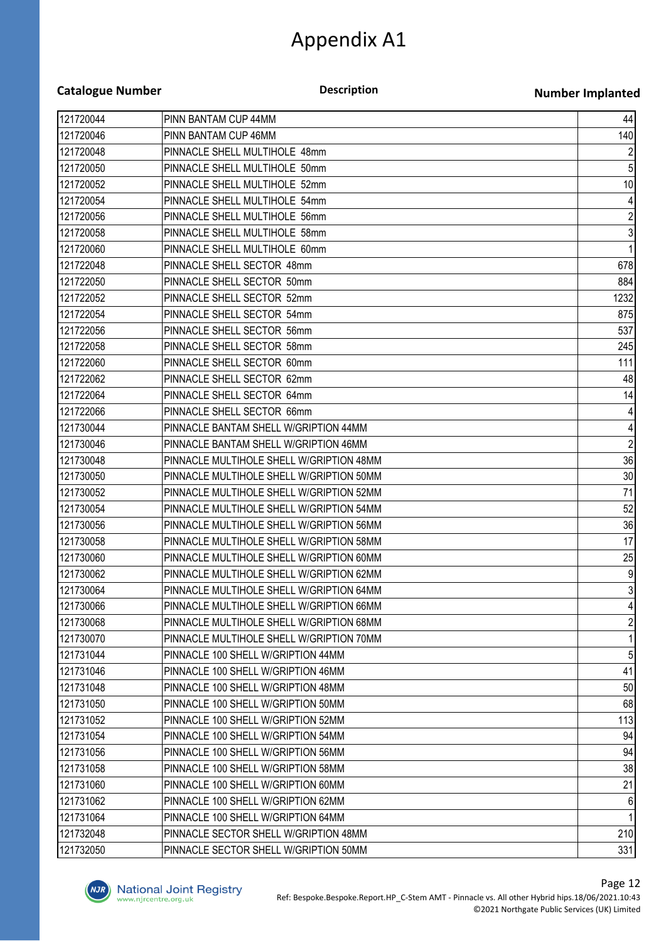**Description**

#### **Number Implanted**

| 121720044 | PINN BANTAM CUP 44MM                     | 44               |
|-----------|------------------------------------------|------------------|
| 121720046 | PINN BANTAM CUP 46MM                     | 140              |
| 121720048 | PINNACLE SHELL MULTIHOLE 48mm            | $\overline{2}$   |
| 121720050 | PINNACLE SHELL MULTIHOLE 50mm            | $\sqrt{5}$       |
| 121720052 | PINNACLE SHELL MULTIHOLE 52mm            | 10               |
| 121720054 | PINNACLE SHELL MULTIHOLE 54mm            | $\vert 4 \vert$  |
| 121720056 | PINNACLE SHELL MULTIHOLE 56mm            | $\mathbf{2}$     |
| 121720058 | PINNACLE SHELL MULTIHOLE 58mm            | $\mathbf{3}$     |
| 121720060 | PINNACLE SHELL MULTIHOLE 60mm            | $\mathbf{1}$     |
| 121722048 | PINNACLE SHELL SECTOR 48mm               | 678              |
| 121722050 | PINNACLE SHELL SECTOR 50mm               | 884              |
| 121722052 | PINNACLE SHELL SECTOR 52mm               | 1232             |
| 121722054 | PINNACLE SHELL SECTOR 54mm               | 875              |
| 121722056 | PINNACLE SHELL SECTOR 56mm               | 537              |
| 121722058 | PINNACLE SHELL SECTOR 58mm               | 245              |
| 121722060 | PINNACLE SHELL SECTOR 60mm               | 111              |
| 121722062 | PINNACLE SHELL SECTOR 62mm               | 48               |
| 121722064 | PINNACLE SHELL SECTOR 64mm               | 14               |
| 121722066 | PINNACLE SHELL SECTOR 66mm               | $\vert 4 \vert$  |
| 121730044 | PINNACLE BANTAM SHELL W/GRIPTION 44MM    | $\vert 4 \vert$  |
| 121730046 | PINNACLE BANTAM SHELL W/GRIPTION 46MM    | $\overline{2}$   |
| 121730048 | PINNACLE MULTIHOLE SHELL W/GRIPTION 48MM | 36               |
| 121730050 | PINNACLE MULTIHOLE SHELL W/GRIPTION 50MM | 30               |
| 121730052 | PINNACLE MULTIHOLE SHELL W/GRIPTION 52MM | 71               |
| 121730054 | PINNACLE MULTIHOLE SHELL W/GRIPTION 54MM | 52               |
| 121730056 | PINNACLE MULTIHOLE SHELL W/GRIPTION 56MM | 36               |
| 121730058 | PINNACLE MULTIHOLE SHELL W/GRIPTION 58MM | 17               |
| 121730060 | PINNACLE MULTIHOLE SHELL W/GRIPTION 60MM | 25               |
| 121730062 | PINNACLE MULTIHOLE SHELL W/GRIPTION 62MM | $\overline{9}$   |
| 121730064 | PINNACLE MULTIHOLE SHELL W/GRIPTION 64MM | $\mathbf{3}$     |
| 121730066 | PINNACLE MULTIHOLE SHELL W/GRIPTION 66MM | $\vert$          |
| 121730068 | PINNACLE MULTIHOLE SHELL W/GRIPTION 68MM | $\overline{2}$   |
| 121730070 | PINNACLE MULTIHOLE SHELL W/GRIPTION 70MM | 1                |
| 121731044 | PINNACLE 100 SHELL W/GRIPTION 44MM       | 5 <sup>1</sup>   |
| 121731046 | PINNACLE 100 SHELL W/GRIPTION 46MM       | 41               |
| 121731048 | PINNACLE 100 SHELL W/GRIPTION 48MM       | 50               |
| 121731050 | PINNACLE 100 SHELL W/GRIPTION 50MM       | 68               |
| 121731052 | PINNACLE 100 SHELL W/GRIPTION 52MM       | 113              |
| 121731054 | PINNACLE 100 SHELL W/GRIPTION 54MM       | 94               |
| 121731056 | PINNACLE 100 SHELL W/GRIPTION 56MM       | 94               |
| 121731058 | PINNACLE 100 SHELL W/GRIPTION 58MM       | 38               |
| 121731060 | PINNACLE 100 SHELL W/GRIPTION 60MM       | 21               |
| 121731062 | PINNACLE 100 SHELL W/GRIPTION 62MM       | $6 \overline{6}$ |
| 121731064 | PINNACLE 100 SHELL W/GRIPTION 64MM       | 1                |
| 121732048 | PINNACLE SECTOR SHELL W/GRIPTION 48MM    | 210              |
| 121732050 | PINNACLE SECTOR SHELL W/GRIPTION 50MM    | 331              |

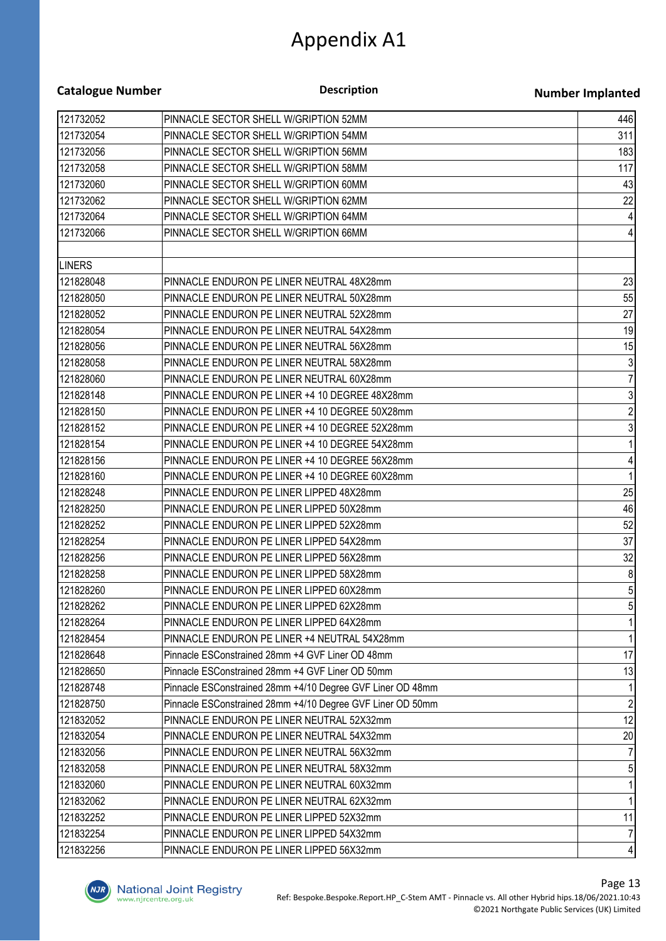| <b>Catalogue Number</b> | <b>Description</b>                                                                     | <b>Number Implanted</b> |
|-------------------------|----------------------------------------------------------------------------------------|-------------------------|
| 121732052               | PINNACLE SECTOR SHELL W/GRIPTION 52MM                                                  | 446                     |
| 121732054               | PINNACLE SECTOR SHELL W/GRIPTION 54MM                                                  | 311                     |
| 121732056               | PINNACLE SECTOR SHELL W/GRIPTION 56MM                                                  | 183                     |
| 121732058               | PINNACLE SECTOR SHELL W/GRIPTION 58MM                                                  | 117                     |
| 121732060               | PINNACLE SECTOR SHELL W/GRIPTION 60MM                                                  | 43                      |
| 121732062               | PINNACLE SECTOR SHELL W/GRIPTION 62MM                                                  | 22                      |
| 121732064               | PINNACLE SECTOR SHELL W/GRIPTION 64MM                                                  | 4                       |
| 121732066               | PINNACLE SECTOR SHELL W/GRIPTION 66MM                                                  | 4                       |
| <b>LINERS</b>           |                                                                                        |                         |
| 121828048               | PINNACLE ENDURON PE LINER NEUTRAL 48X28mm                                              | 23                      |
| 121828050               | PINNACLE ENDURON PE LINER NEUTRAL 50X28mm                                              | 55                      |
| 121828052               | PINNACLE ENDURON PE LINER NEUTRAL 52X28mm                                              | 27                      |
| 121828054               | PINNACLE ENDURON PE LINER NEUTRAL 54X28mm                                              | 19                      |
| 121828056               | PINNACLE ENDURON PE LINER NEUTRAL 56X28mm                                              | 15                      |
| 121828058               | PINNACLE ENDURON PE LINER NEUTRAL 58X28mm                                              | $\sqrt{3}$              |
| 121828060               | PINNACLE ENDURON PE LINER NEUTRAL 60X28mm                                              | 7                       |
| 121828148               | PINNACLE ENDURON PE LINER +4 10 DEGREE 48X28mm                                         | $\mathfrak{Z}$          |
| 121828150               | PINNACLE ENDURON PE LINER +4 10 DEGREE 50X28mm                                         | $\overline{c}$          |
| 121828152               | PINNACLE ENDURON PE LINER +4 10 DEGREE 52X28mm                                         | $\mathbf{3}$            |
| 121828154               | PINNACLE ENDURON PE LINER +4 10 DEGREE 54X28mm                                         |                         |
| 121828156               | PINNACLE ENDURON PE LINER +4 10 DEGREE 56X28mm                                         | 4                       |
| 121828160               | PINNACLE ENDURON PE LINER +4 10 DEGREE 60X28mm                                         | 1                       |
| 121828248               | PINNACLE ENDURON PE LINER LIPPED 48X28mm                                               | 25                      |
| 121828250               | PINNACLE ENDURON PE LINER LIPPED 50X28mm                                               | 46                      |
| 121828252               | PINNACLE ENDURON PE LINER LIPPED 52X28mm                                               | 52                      |
| 121828254               | PINNACLE ENDURON PE LINER LIPPED 54X28mm                                               | 37                      |
| 121828256               | PINNACLE ENDURON PE LINER LIPPED 56X28mm                                               | 32                      |
| 121828258               | PINNACLE ENDURON PE LINER LIPPED 58X28mm                                               | 8                       |
| 121828260               | PINNACLE ENDURON PE LINER LIPPED 60X28mm                                               | 5 <sub>l</sub>          |
| 121828262               | PINNACLE ENDURON PE LINER LIPPED 62X28mm                                               |                         |
| 121828264               | PINNACLE ENDURON PE LINER LIPPED 64X28mm                                               |                         |
| 121828454               | PINNACLE ENDURON PE LINER +4 NEUTRAL 54X28mm                                           |                         |
| 121828648               | Pinnacle ESConstrained 28mm +4 GVF Liner OD 48mm                                       | 17                      |
| 121828650               | Pinnacle ESConstrained 28mm +4 GVF Liner OD 50mm                                       | 13                      |
| 121828748               | Pinnacle ESConstrained 28mm +4/10 Degree GVF Liner OD 48mm                             |                         |
| 121828750               | Pinnacle ESConstrained 28mm +4/10 Degree GVF Liner OD 50mm                             |                         |
| 121832052               | PINNACLE ENDURON PE LINER NEUTRAL 52X32mm                                              | 12                      |
| 121832054               | PINNACLE ENDURON PE LINER NEUTRAL 54X32mm                                              | 20                      |
| 121832056               | PINNACLE ENDURON PE LINER NEUTRAL 56X32mm                                              |                         |
| 121832058               |                                                                                        |                         |
| 121832060               | PINNACLE ENDURON PE LINER NEUTRAL 58X32mm<br>PINNACLE ENDURON PE LINER NEUTRAL 60X32mm |                         |
|                         |                                                                                        |                         |
| 121832062               | PINNACLE ENDURON PE LINER NEUTRAL 62X32mm                                              | 11                      |
| 121832252               | PINNACLE ENDURON PE LINER LIPPED 52X32mm                                               |                         |
| 121832254               | PINNACLE ENDURON PE LINER LIPPED 54X32mm                                               |                         |
| 121832256               | PINNACLE ENDURON PE LINER LIPPED 56X32mm                                               | $\vert 4 \vert$         |

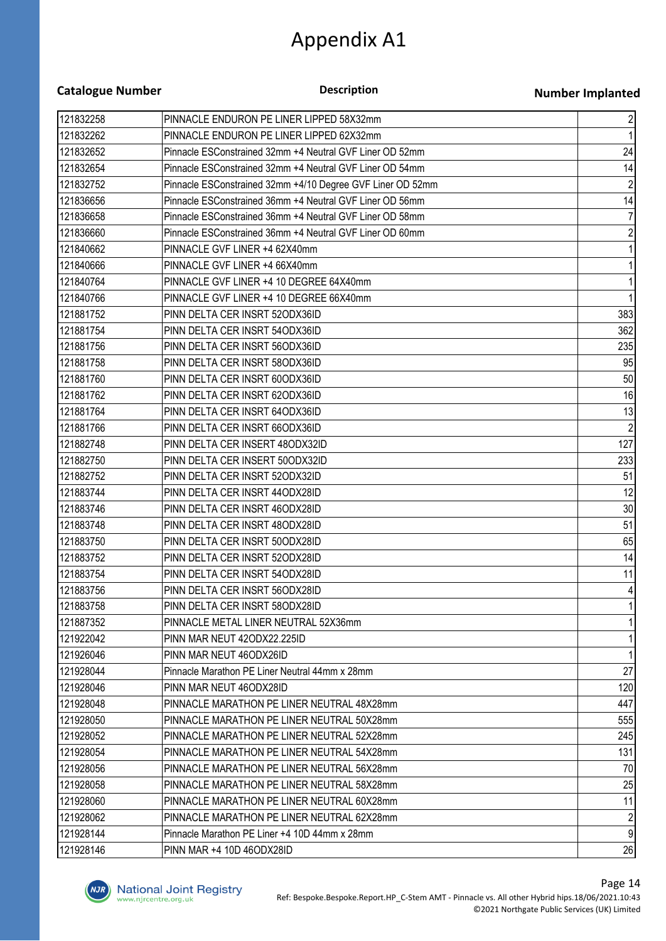| <b>Catalogue Number</b> | <b>Description</b>                                         | <b>Number Implanted</b> |
|-------------------------|------------------------------------------------------------|-------------------------|
| 121832258               | PINNACLE ENDURON PE LINER LIPPED 58X32mm                   | $\mathbf{2}$            |
| 121832262               | PINNACLE ENDURON PE LINER LIPPED 62X32mm                   |                         |
| 121832652               | Pinnacle ESConstrained 32mm +4 Neutral GVF Liner OD 52mm   | 24                      |
| 121832654               | Pinnacle ESConstrained 32mm +4 Neutral GVF Liner OD 54mm   | 14                      |
| 121832752               | Pinnacle ESConstrained 32mm +4/10 Degree GVF Liner OD 52mm | $\overline{2}$          |
| 121836656               | Pinnacle ESConstrained 36mm +4 Neutral GVF Liner OD 56mm   | 14                      |
| 121836658               | Pinnacle ESConstrained 36mm +4 Neutral GVF Liner OD 58mm   | 7                       |
| 121836660               | Pinnacle ESConstrained 36mm +4 Neutral GVF Liner OD 60mm   | $\overline{2}$          |
| 121840662               | PINNACLE GVF LINER +4 62X40mm                              |                         |
| 121840666               | PINNACLE GVF LINER +4 66X40mm                              |                         |
| 121840764               | PINNACLE GVF LINER +4 10 DEGREE 64X40mm                    |                         |
| 121840766               | PINNACLE GVF LINER +4 10 DEGREE 66X40mm                    |                         |
| 121881752               | PINN DELTA CER INSRT 52ODX36ID                             | 383                     |
| 121881754               | PINN DELTA CER INSRT 54ODX36ID                             | 362                     |
| 121881756               | PINN DELTA CER INSRT 56ODX36ID                             | 235                     |
| 121881758               | PINN DELTA CER INSRT 58ODX36ID                             | 95                      |
| 121881760               | PINN DELTA CER INSRT 60ODX36ID                             | 50                      |
| 121881762               | PINN DELTA CER INSRT 62ODX36ID                             | 16                      |
| 121881764               | PINN DELTA CER INSRT 64ODX36ID                             | 13                      |
| 121881766               | PINN DELTA CER INSRT 66ODX36ID                             | $\overline{2}$          |
| 121882748               | PINN DELTA CER INSERT 48ODX32ID                            | 127                     |
| 121882750               | PINN DELTA CER INSERT 50ODX32ID                            | 233                     |
| 121882752               | PINN DELTA CER INSRT 52ODX32ID                             | 51                      |
| 121883744               | PINN DELTA CER INSRT 44ODX28ID                             | 12                      |
| 121883746               | PINN DELTA CER INSRT 46ODX28ID                             | 30                      |
| 121883748               | PINN DELTA CER INSRT 48ODX28ID                             | 51                      |
| 121883750               | PINN DELTA CER INSRT 50ODX28ID                             | 65                      |
| 121883752               | PINN DELTA CER INSRT 52ODX28ID                             | 14                      |
| 121883754               | PINN DELTA CER INSRT 54ODX28ID                             | 11                      |
| 121883756               | PINN DELTA CER INSRT 56ODX28ID                             | 41                      |
| 121883758               | PINN DELTA CER INSRT 58ODX28ID                             |                         |
| 121887352               | PINNACLE METAL LINER NEUTRAL 52X36mm                       |                         |
| 121922042               | PINN MAR NEUT 42ODX22.225ID                                |                         |
| 121926046               | PINN MAR NEUT 46ODX26ID                                    |                         |
| 121928044               | Pinnacle Marathon PE Liner Neutral 44mm x 28mm             | 27                      |
| 121928046               | PINN MAR NEUT 46ODX28ID                                    | 120                     |
| 121928048               | PINNACLE MARATHON PE LINER NEUTRAL 48X28mm                 | 447                     |
| 121928050               | PINNACLE MARATHON PE LINER NEUTRAL 50X28mm                 | 555                     |
| 121928052               | PINNACLE MARATHON PE LINER NEUTRAL 52X28mm                 | 245                     |
| 121928054               | PINNACLE MARATHON PE LINER NEUTRAL 54X28mm                 | 131                     |
| 121928056               | PINNACLE MARATHON PE LINER NEUTRAL 56X28mm                 | 70                      |
| 121928058               | PINNACLE MARATHON PE LINER NEUTRAL 58X28mm                 | 25                      |
| 121928060               | PINNACLE MARATHON PE LINER NEUTRAL 60X28mm                 | 11                      |
| 121928062               | PINNACLE MARATHON PE LINER NEUTRAL 62X28mm                 |                         |
| 121928144               | Pinnacle Marathon PE Liner +4 10D 44mm x 28mm              | $\overline{9}$          |
| 121928146               | PINN MAR +4 10D 46ODX28ID                                  | 26                      |

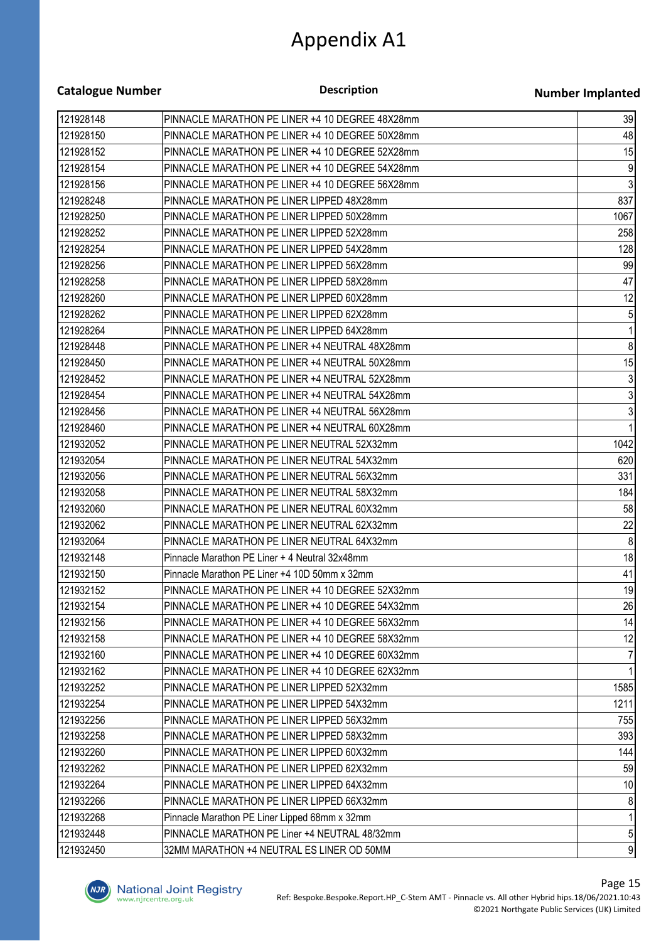| <b>Catalogue Number</b> | <b>Description</b>                              | <b>Number Implanted</b> |
|-------------------------|-------------------------------------------------|-------------------------|
| 121928148               | PINNACLE MARATHON PE LINER +4 10 DEGREE 48X28mm | 39                      |
| 121928150               | PINNACLE MARATHON PE LINER +4 10 DEGREE 50X28mm | 48                      |
| 121928152               | PINNACLE MARATHON PE LINER +4 10 DEGREE 52X28mm | 15                      |
| 121928154               | PINNACLE MARATHON PE LINER +4 10 DEGREE 54X28mm | 9                       |
| 121928156               | PINNACLE MARATHON PE LINER +4 10 DEGREE 56X28mm | $\mathbf{3}$            |
| 121928248               | PINNACLE MARATHON PE LINER LIPPED 48X28mm       | 837                     |
| 121928250               | PINNACLE MARATHON PE LINER LIPPED 50X28mm       | 1067                    |
| 121928252               | PINNACLE MARATHON PE LINER LIPPED 52X28mm       | 258                     |
| 121928254               | PINNACLE MARATHON PE LINER LIPPED 54X28mm       | 128                     |
| 121928256               | PINNACLE MARATHON PE LINER LIPPED 56X28mm       | 99                      |
| 121928258               | PINNACLE MARATHON PE LINER LIPPED 58X28mm       | 47                      |
| 121928260               | PINNACLE MARATHON PE LINER LIPPED 60X28mm       | 12                      |
| 121928262               | PINNACLE MARATHON PE LINER LIPPED 62X28mm       | 5                       |
| 121928264               | PINNACLE MARATHON PE LINER LIPPED 64X28mm       | 1                       |
| 121928448               | PINNACLE MARATHON PE LINER +4 NEUTRAL 48X28mm   | 8                       |
| 121928450               | PINNACLE MARATHON PE LINER +4 NEUTRAL 50X28mm   | 15                      |
| 121928452               | PINNACLE MARATHON PE LINER +4 NEUTRAL 52X28mm   | $\mathfrak{Z}$          |
| 121928454               | PINNACLE MARATHON PE LINER +4 NEUTRAL 54X28mm   | 3                       |
| 121928456               | PINNACLE MARATHON PE LINER +4 NEUTRAL 56X28mm   | 3                       |
| 121928460               | PINNACLE MARATHON PE LINER +4 NEUTRAL 60X28mm   |                         |
| 121932052               | PINNACLE MARATHON PE LINER NEUTRAL 52X32mm      | 1042                    |
| 121932054               | PINNACLE MARATHON PE LINER NEUTRAL 54X32mm      | 620                     |
| 121932056               | PINNACLE MARATHON PE LINER NEUTRAL 56X32mm      | 331                     |
| 121932058               | PINNACLE MARATHON PE LINER NEUTRAL 58X32mm      | 184                     |
| 121932060               | PINNACLE MARATHON PE LINER NEUTRAL 60X32mm      | 58                      |
| 121932062               | PINNACLE MARATHON PE LINER NEUTRAL 62X32mm      | 22                      |
| 121932064               | PINNACLE MARATHON PE LINER NEUTRAL 64X32mm      | 8                       |
| 121932148               | Pinnacle Marathon PE Liner + 4 Neutral 32x48mm  | 18                      |
| 121932150               | Pinnacle Marathon PE Liner +4 10D 50mm x 32mm   | 41                      |
| 121932152               | PINNACLE MARATHON PE LINER +4 10 DEGREE 52X32mm | 19                      |
| 121932154               | PINNACLE MARATHON PE LINER +4 10 DEGREE 54X32mm | 26                      |
| 121932156               | PINNACLE MARATHON PE LINER +4 10 DEGREE 56X32mm | 14                      |
| 121932158               | PINNACLE MARATHON PE LINER +4 10 DEGREE 58X32mm | 12                      |
| 121932160               | PINNACLE MARATHON PE LINER +4 10 DEGREE 60X32mm |                         |
| 121932162               | PINNACLE MARATHON PE LINER +4 10 DEGREE 62X32mm |                         |
| 121932252               | PINNACLE MARATHON PE LINER LIPPED 52X32mm       | 1585                    |
| 121932254               | PINNACLE MARATHON PE LINER LIPPED 54X32mm       | 1211                    |
| 121932256               | PINNACLE MARATHON PE LINER LIPPED 56X32mm       | 755                     |
| 121932258               | PINNACLE MARATHON PE LINER LIPPED 58X32mm       | 393                     |
| 121932260               | PINNACLE MARATHON PE LINER LIPPED 60X32mm       | 144                     |
| 121932262               | PINNACLE MARATHON PE LINER LIPPED 62X32mm       | 59                      |
| 121932264               | PINNACLE MARATHON PE LINER LIPPED 64X32mm       | 10                      |
| 121932266               | PINNACLE MARATHON PE LINER LIPPED 66X32mm       | 8                       |
| 121932268               | Pinnacle Marathon PE Liner Lipped 68mm x 32mm   |                         |
| 121932448               | PINNACLE MARATHON PE Liner +4 NEUTRAL 48/32mm   | 5 <sup>1</sup>          |
| 121932450               | 32MM MARATHON +4 NEUTRAL ES LINER OD 50MM       | $\mathfrak{g}$          |

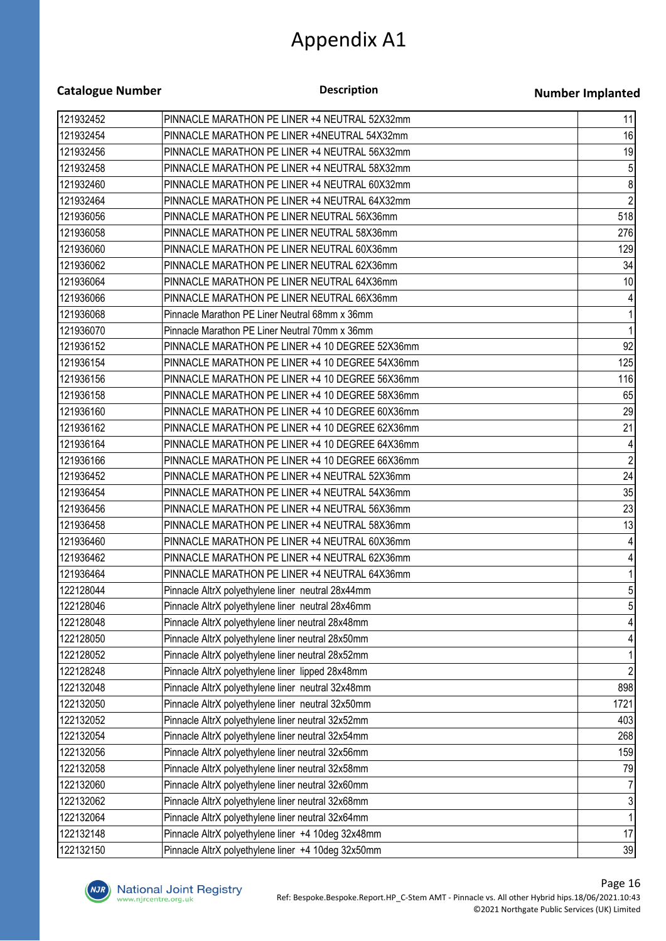| <b>Catalogue Number</b> | <b>Description</b>                                 | <b>Number Implanted</b> |
|-------------------------|----------------------------------------------------|-------------------------|
| 121932452               | PINNACLE MARATHON PE LINER +4 NEUTRAL 52X32mm      | 11                      |
| 121932454               | PINNACLE MARATHON PE LINER +4NEUTRAL 54X32mm       | 16                      |
| 121932456               | PINNACLE MARATHON PE LINER +4 NEUTRAL 56X32mm      | 19                      |
| 121932458               | PINNACLE MARATHON PE LINER +4 NEUTRAL 58X32mm      | $\sqrt{5}$              |
| 121932460               | PINNACLE MARATHON PE LINER +4 NEUTRAL 60X32mm      | 8                       |
| 121932464               | PINNACLE MARATHON PE LINER +4 NEUTRAL 64X32mm      | $\overline{2}$          |
| 121936056               | PINNACLE MARATHON PE LINER NEUTRAL 56X36mm         | 518                     |
| 121936058               | PINNACLE MARATHON PE LINER NEUTRAL 58X36mm         | 276                     |
| 121936060               | PINNACLE MARATHON PE LINER NEUTRAL 60X36mm         | 129                     |
| 121936062               | PINNACLE MARATHON PE LINER NEUTRAL 62X36mm         | 34                      |
| 121936064               | PINNACLE MARATHON PE LINER NEUTRAL 64X36mm         | 10                      |
| 121936066               | PINNACLE MARATHON PE LINER NEUTRAL 66X36mm         |                         |
| 121936068               | Pinnacle Marathon PE Liner Neutral 68mm x 36mm     |                         |
| 121936070               | Pinnacle Marathon PE Liner Neutral 70mm x 36mm     | 1                       |
| 121936152               | PINNACLE MARATHON PE LINER +4 10 DEGREE 52X36mm    | 92                      |
| 121936154               | PINNACLE MARATHON PE LINER +4 10 DEGREE 54X36mm    | 125                     |
| 121936156               | PINNACLE MARATHON PE LINER +4 10 DEGREE 56X36mm    | 116                     |
| 121936158               | PINNACLE MARATHON PE LINER +4 10 DEGREE 58X36mm    | 65                      |
| 121936160               | PINNACLE MARATHON PE LINER +4 10 DEGREE 60X36mm    | 29                      |
| 121936162               | PINNACLE MARATHON PE LINER +4 10 DEGREE 62X36mm    | 21                      |
| 121936164               | PINNACLE MARATHON PE LINER +4 10 DEGREE 64X36mm    | 4                       |
| 121936166               | PINNACLE MARATHON PE LINER +4 10 DEGREE 66X36mm    | $\overline{c}$          |
| 121936452               | PINNACLE MARATHON PE LINER +4 NEUTRAL 52X36mm      | 24                      |
| 121936454               | PINNACLE MARATHON PE LINER +4 NEUTRAL 54X36mm      | 35                      |
| 121936456               | PINNACLE MARATHON PE LINER +4 NEUTRAL 56X36mm      | 23                      |
| 121936458               | PINNACLE MARATHON PE LINER +4 NEUTRAL 58X36mm      | 13                      |
| 121936460               | PINNACLE MARATHON PE LINER +4 NEUTRAL 60X36mm      | 4                       |
| 121936462               | PINNACLE MARATHON PE LINER +4 NEUTRAL 62X36mm      | 4                       |
| 121936464               | PINNACLE MARATHON PE LINER +4 NEUTRAL 64X36mm      | 11                      |
| 122128044               | Pinnacle AltrX polyethylene liner neutral 28x44mm  | 5 <sup>1</sup>          |
| 122128046               | Pinnacle AltrX polyethylene liner neutral 28x46mm  |                         |
| 122128048               | Pinnacle AltrX polyethylene liner neutral 28x48mm  |                         |
| 122128050               | Pinnacle AltrX polyethylene liner neutral 28x50mm  |                         |
| 122128052               | Pinnacle AltrX polyethylene liner neutral 28x52mm  |                         |
| 122128248               | Pinnacle AltrX polyethylene liner lipped 28x48mm   | $\overline{2}$          |
| 122132048               | Pinnacle AltrX polyethylene liner neutral 32x48mm  | 898                     |
| 122132050               | Pinnacle AltrX polyethylene liner neutral 32x50mm  | 1721                    |
| 122132052               | Pinnacle AltrX polyethylene liner neutral 32x52mm  | 403                     |
| 122132054               | Pinnacle AltrX polyethylene liner neutral 32x54mm  | 268                     |
| 122132056               | Pinnacle AltrX polyethylene liner neutral 32x56mm  | 159                     |
| 122132058               | Pinnacle AltrX polyethylene liner neutral 32x58mm  | 79                      |
| 122132060               | Pinnacle AltrX polyethylene liner neutral 32x60mm  |                         |
| 122132062               | Pinnacle AltrX polyethylene liner neutral 32x68mm  | $\overline{3}$          |
| 122132064               | Pinnacle AltrX polyethylene liner neutral 32x64mm  |                         |
| 122132148               | Pinnacle AltrX polyethylene liner +4 10deg 32x48mm | 17                      |
| 122132150               | Pinnacle AltrX polyethylene liner +4 10deg 32x50mm | 39                      |

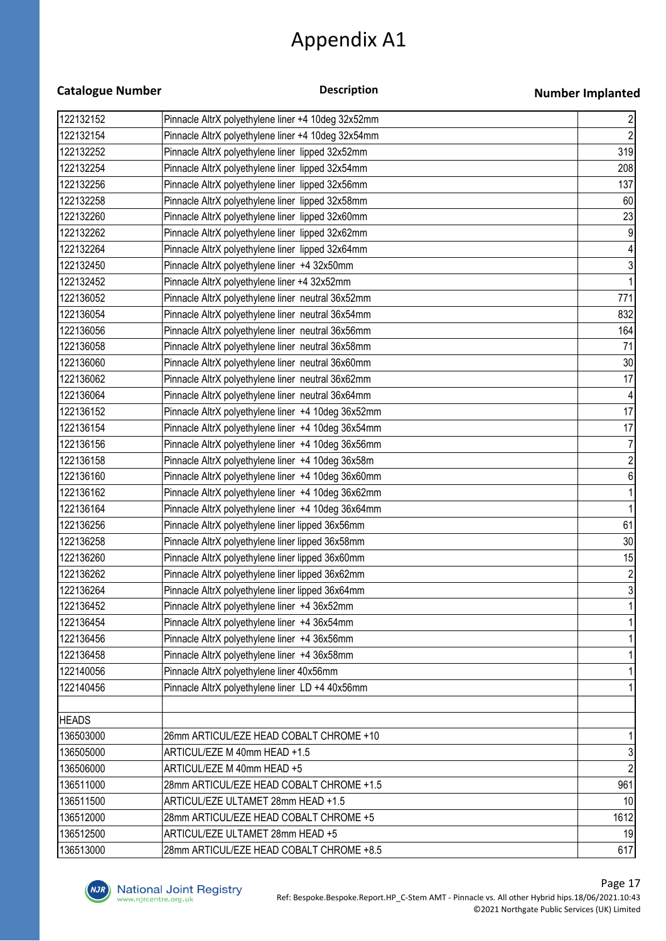| <b>Catalogue Number</b> | <b>Description</b>                                 | <b>Number Implanted</b> |
|-------------------------|----------------------------------------------------|-------------------------|
| 122132152               | Pinnacle AltrX polyethylene liner +4 10deg 32x52mm |                         |
| 122132154               | Pinnacle AltrX polyethylene liner +4 10deg 32x54mm | $\frac{2}{2}$           |
| 122132252               | Pinnacle AltrX polyethylene liner lipped 32x52mm   | 319                     |
| 122132254               | Pinnacle AltrX polyethylene liner lipped 32x54mm   | 208                     |
| 122132256               | Pinnacle AltrX polyethylene liner lipped 32x56mm   | 137                     |
| 122132258               | Pinnacle AltrX polyethylene liner lipped 32x58mm   | 60                      |
| 122132260               | Pinnacle AltrX polyethylene liner lipped 32x60mm   | 23                      |
| 122132262               | Pinnacle AltrX polyethylene liner lipped 32x62mm   | 9                       |
| 122132264               | Pinnacle AltrX polyethylene liner lipped 32x64mm   |                         |
| 122132450               | Pinnacle AltrX polyethylene liner +4 32x50mm       | $\overline{3}$          |
| 122132452               | Pinnacle AltrX polyethylene liner +4 32x52mm       |                         |
| 122136052               | Pinnacle AltrX polyethylene liner neutral 36x52mm  | 771                     |
| 122136054               | Pinnacle AltrX polyethylene liner neutral 36x54mm  | 832                     |
| 122136056               | Pinnacle AltrX polyethylene liner neutral 36x56mm  | 164                     |
| 122136058               | Pinnacle AltrX polyethylene liner neutral 36x58mm  | 71                      |
| 122136060               | Pinnacle AltrX polyethylene liner neutral 36x60mm  | 30                      |
| 122136062               | Pinnacle AltrX polyethylene liner neutral 36x62mm  | 17                      |
| 122136064               | Pinnacle AltrX polyethylene liner neutral 36x64mm  |                         |
| 122136152               | Pinnacle AltrX polyethylene liner +4 10deg 36x52mm | 17                      |
| 122136154               | Pinnacle AltrX polyethylene liner +4 10deg 36x54mm | 17                      |
| 122136156               | Pinnacle AltrX polyethylene liner +4 10deg 36x56mm |                         |
| 122136158               | Pinnacle AltrX polyethylene liner +4 10deg 36x58m  | $\overline{c}$          |
| 122136160               | Pinnacle AltrX polyethylene liner +4 10deg 36x60mm | 6                       |
| 122136162               | Pinnacle AltrX polyethylene liner +4 10deg 36x62mm |                         |
| 122136164               | Pinnacle AltrX polyethylene liner +4 10deg 36x64mm |                         |
| 122136256               | Pinnacle AltrX polyethylene liner lipped 36x56mm   | 61                      |
| 122136258               | Pinnacle AltrX polyethylene liner lipped 36x58mm   | 30 <sup>°</sup>         |
| 122136260               | Pinnacle AltrX polyethylene liner lipped 36x60mm   | 15                      |
| 122136262               | Pinnacle AltrX polyethylene liner lipped 36x62mm   | $\overline{2}$          |
| 122136264               | Pinnacle AltrX polyethylene liner lipped 36x64mm   | $\mathbf{3}$            |
| 122136452               | Pinnacle AltrX polyethylene liner +4 36x52mm       |                         |
| 122136454               | Pinnacle AltrX polyethylene liner +4 36x54mm       |                         |
| 122136456               | Pinnacle AltrX polyethylene liner +4 36x56mm       |                         |
| 122136458               | Pinnacle AltrX polyethylene liner +4 36x58mm       |                         |
| 122140056               | Pinnacle AltrX polyethylene liner 40x56mm          |                         |
| 122140456               | Pinnacle AltrX polyethylene liner LD +4 40x56mm    |                         |
|                         |                                                    |                         |
| <b>HEADS</b>            |                                                    |                         |
| 136503000               | 26mm ARTICUL/EZE HEAD COBALT CHROME +10            |                         |
| 136505000               | ARTICUL/EZE M 40mm HEAD +1.5                       | 3                       |
| 136506000               | ARTICUL/EZE M 40mm HEAD +5                         | $\overline{2}$          |
| 136511000               | 28mm ARTICUL/EZE HEAD COBALT CHROME +1.5           | 961                     |
| 136511500               | ARTICUL/EZE ULTAMET 28mm HEAD +1.5                 | 10                      |
| 136512000               | 28mm ARTICUL/EZE HEAD COBALT CHROME +5             | 1612                    |
| 136512500               | ARTICUL/EZE ULTAMET 28mm HEAD +5                   | 19                      |
| 136513000               | 28mm ARTICUL/EZE HEAD COBALT CHROME +8.5           | 617                     |

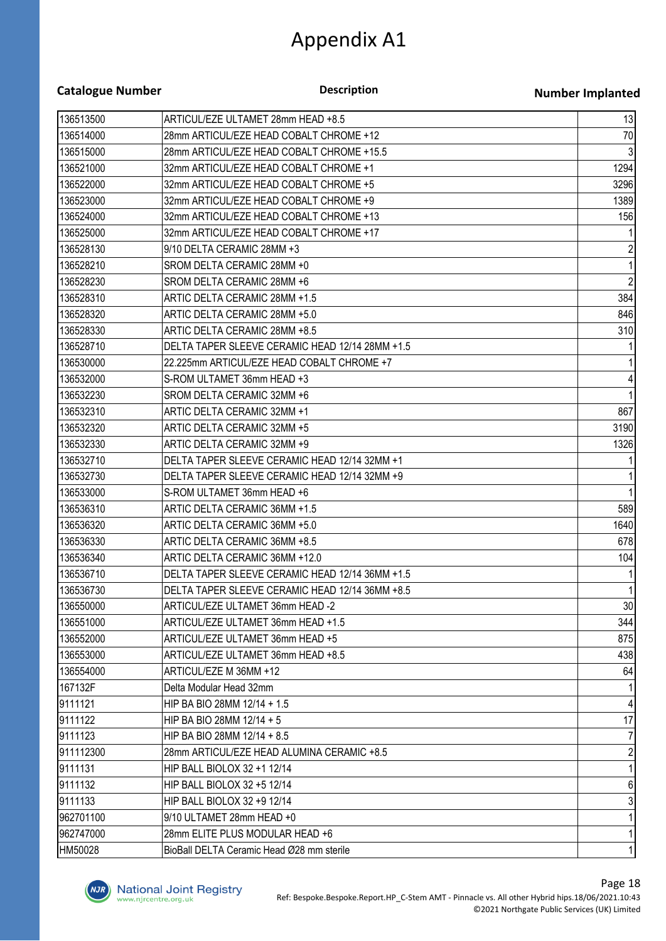| <b>Catalogue Number</b> |  |
|-------------------------|--|
|-------------------------|--|

**Description**

#### **Number Implanted**

| 136513500 | ARTICUL/EZE ULTAMET 28mm HEAD +8.5              | 13               |
|-----------|-------------------------------------------------|------------------|
| 136514000 | 28mm ARTICUL/EZE HEAD COBALT CHROME +12         | 70               |
| 136515000 | 28mm ARTICUL/EZE HEAD COBALT CHROME +15.5       | 3                |
| 136521000 | 32mm ARTICUL/EZE HEAD COBALT CHROME +1          | 1294             |
| 136522000 | 32mm ARTICUL/EZE HEAD COBALT CHROME +5          | 3296             |
| 136523000 | 32mm ARTICUL/EZE HEAD COBALT CHROME +9          | 1389             |
| 136524000 | 32mm ARTICUL/EZE HEAD COBALT CHROME +13         | 156              |
| 136525000 | 32mm ARTICUL/EZE HEAD COBALT CHROME +17         | 1                |
| 136528130 | 9/10 DELTA CERAMIC 28MM +3                      | $\overline{2}$   |
| 136528210 | SROM DELTA CERAMIC 28MM +0                      | $\mathbf{1}$     |
| 136528230 | SROM DELTA CERAMIC 28MM +6                      | $\mathbf{2}$     |
| 136528310 | ARTIC DELTA CERAMIC 28MM +1.5                   | 384              |
| 136528320 | ARTIC DELTA CERAMIC 28MM +5.0                   | 846              |
| 136528330 | ARTIC DELTA CERAMIC 28MM +8.5                   | 310              |
| 136528710 | DELTA TAPER SLEEVE CERAMIC HEAD 12/14 28MM +1.5 | 1                |
| 136530000 | 22.225mm ARTICUL/EZE HEAD COBALT CHROME +7      | $\mathbf{1}$     |
| 136532000 | S-ROM ULTAMET 36mm HEAD +3                      | $\vert 4 \vert$  |
| 136532230 | SROM DELTA CERAMIC 32MM +6                      | 1                |
| 136532310 | ARTIC DELTA CERAMIC 32MM +1                     | 867              |
| 136532320 | ARTIC DELTA CERAMIC 32MM +5                     | 3190             |
| 136532330 | ARTIC DELTA CERAMIC 32MM +9                     | 1326             |
| 136532710 | DELTA TAPER SLEEVE CERAMIC HEAD 12/14 32MM +1   | 1                |
| 136532730 | DELTA TAPER SLEEVE CERAMIC HEAD 12/14 32MM +9   | $\mathbf{1}$     |
| 136533000 | S-ROM ULTAMET 36mm HEAD +6                      | $\mathbf{1}$     |
| 136536310 | ARTIC DELTA CERAMIC 36MM +1.5                   | 589              |
| 136536320 | ARTIC DELTA CERAMIC 36MM +5.0                   | 1640             |
| 136536330 | ARTIC DELTA CERAMIC 36MM +8.5                   | 678              |
| 136536340 | ARTIC DELTA CERAMIC 36MM +12.0                  | 104              |
| 136536710 | DELTA TAPER SLEEVE CERAMIC HEAD 12/14 36MM +1.5 | $\mathbf{1}$     |
| 136536730 | DELTA TAPER SLEEVE CERAMIC HEAD 12/14 36MM +8.5 | $\mathbf{1}$     |
| 136550000 | ARTICUL/EZE ULTAMET 36mm HEAD -2                | 30               |
| 136551000 | ARTICUL/EZE ULTAMET 36mm HEAD +1.5              | 344              |
| 136552000 | ARTICUL/EZE ULTAMET 36mm HEAD +5                | 875              |
| 136553000 | ARTICUL/EZE ULTAMET 36mm HEAD +8.5              | 438              |
| 136554000 | ARTICUL/EZE M 36MM +12                          | 64               |
| 167132F   | Delta Modular Head 32mm                         | 1                |
| 9111121   | HIP BA BIO 28MM 12/14 + 1.5                     | $\overline{4}$   |
| 9111122   | HIP BA BIO 28MM $12/14 + 5$                     | 17               |
| 9111123   | HIP BA BIO 28MM 12/14 + 8.5                     | $\overline{7}$   |
| 911112300 | 28mm ARTICUL/EZE HEAD ALUMINA CERAMIC +8.5      | $\overline{2}$   |
| 9111131   | HIP BALL BIOLOX 32 +1 12/14                     | $\mathbf{1}$     |
| 9111132   | HIP BALL BIOLOX 32 +5 12/14                     | $6 \overline{6}$ |
| 9111133   | HIP BALL BIOLOX 32 +9 12/14                     | $\mathbf{3}$     |
| 962701100 | 9/10 ULTAMET 28mm HEAD +0                       | $\mathbf{1}$     |
| 962747000 | 28mm ELITE PLUS MODULAR HEAD +6                 | 1                |
| HM50028   | BioBall DELTA Ceramic Head Ø28 mm sterile       | 1                |